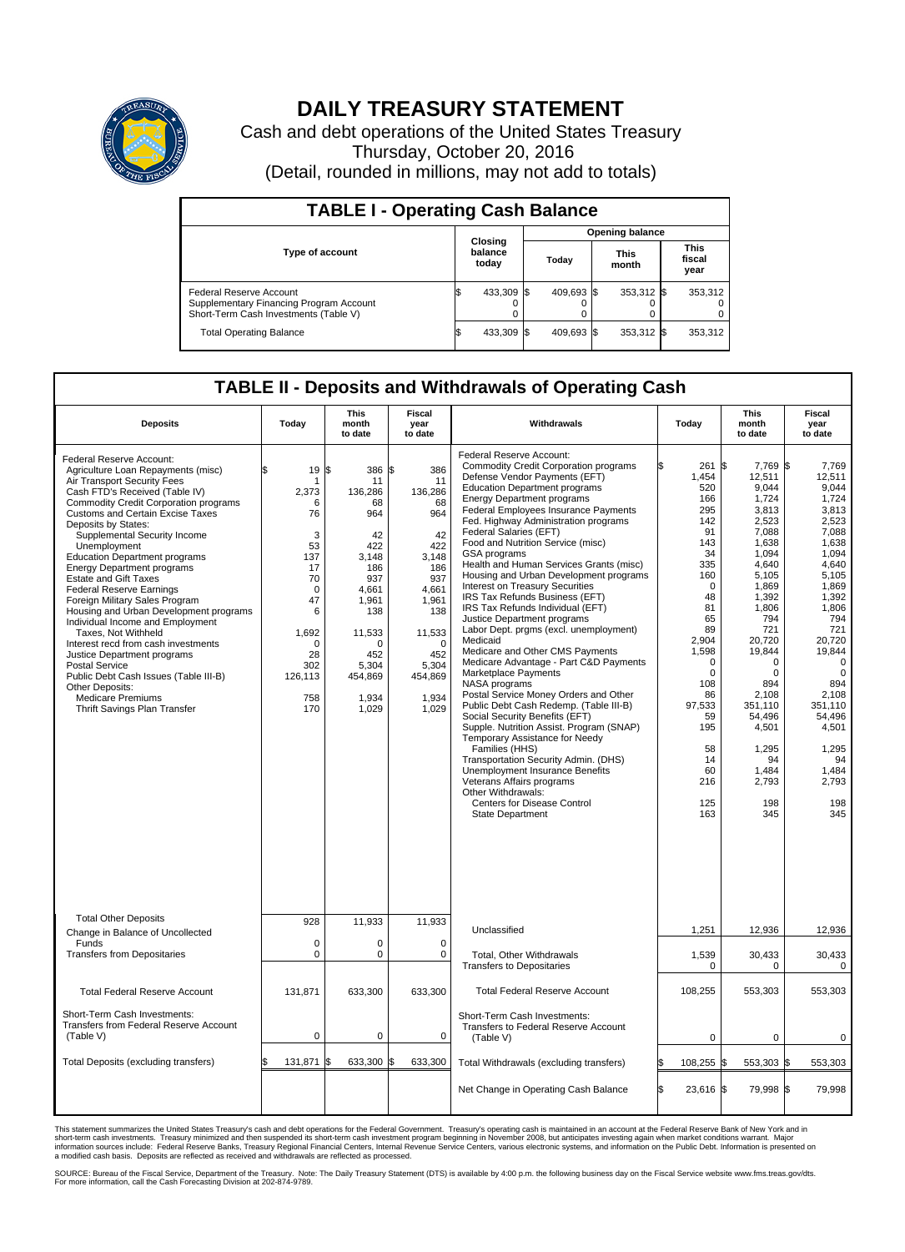

## **DAILY TREASURY STATEMENT**

Cash and debt operations of the United States Treasury Thursday, October 20, 2016 (Detail, rounded in millions, may not add to totals)

| <b>TABLE I - Operating Cash Balance</b>                                                                     |    |                             |                        |            |  |                      |  |                               |  |  |  |
|-------------------------------------------------------------------------------------------------------------|----|-----------------------------|------------------------|------------|--|----------------------|--|-------------------------------|--|--|--|
|                                                                                                             |    |                             | <b>Opening balance</b> |            |  |                      |  |                               |  |  |  |
| <b>Type of account</b>                                                                                      |    | Closing<br>balance<br>today |                        | Today      |  | <b>This</b><br>month |  | <b>This</b><br>fiscal<br>year |  |  |  |
| Federal Reserve Account<br>Supplementary Financing Program Account<br>Short-Term Cash Investments (Table V) |    | 433,309                     | - IS                   | 409.693 \$ |  | 353,312 \$           |  | 353,312                       |  |  |  |
| <b>Total Operating Balance</b>                                                                              | ß. | 433,309                     | 15                     | 409,693 \$ |  | 353,312 \$           |  | 353,312                       |  |  |  |

## **TABLE II - Deposits and Withdrawals of Operating Cash**

| <b>Deposits</b>                                                                                                                                                                                                                                                                                                                                                                                                                                                                                                                                                                                                                                                                                                                                                                                          | Today                                                                                                                                         | <b>This</b><br>month<br>to date                                                                                                                                      | <b>Fiscal</b><br>year<br>to date                                                                                                                                     | Withdrawals                                                                                                                                                                                                                                                                                                                                                                                                                                                                                                                                                                                                                                                                                                                                                                                                                                                                                                                                                                                                                                                                                                                                                                               | Today                                                                                                                                                                                                                                | <b>This</b><br>month<br>to date                                                                                                                                                                                                                                                             | Fiscal<br>year<br>to date                                                                                                                                                                                                                                                                |
|----------------------------------------------------------------------------------------------------------------------------------------------------------------------------------------------------------------------------------------------------------------------------------------------------------------------------------------------------------------------------------------------------------------------------------------------------------------------------------------------------------------------------------------------------------------------------------------------------------------------------------------------------------------------------------------------------------------------------------------------------------------------------------------------------------|-----------------------------------------------------------------------------------------------------------------------------------------------|----------------------------------------------------------------------------------------------------------------------------------------------------------------------|----------------------------------------------------------------------------------------------------------------------------------------------------------------------|-------------------------------------------------------------------------------------------------------------------------------------------------------------------------------------------------------------------------------------------------------------------------------------------------------------------------------------------------------------------------------------------------------------------------------------------------------------------------------------------------------------------------------------------------------------------------------------------------------------------------------------------------------------------------------------------------------------------------------------------------------------------------------------------------------------------------------------------------------------------------------------------------------------------------------------------------------------------------------------------------------------------------------------------------------------------------------------------------------------------------------------------------------------------------------------------|--------------------------------------------------------------------------------------------------------------------------------------------------------------------------------------------------------------------------------------|---------------------------------------------------------------------------------------------------------------------------------------------------------------------------------------------------------------------------------------------------------------------------------------------|------------------------------------------------------------------------------------------------------------------------------------------------------------------------------------------------------------------------------------------------------------------------------------------|
| Federal Reserve Account:<br>Agriculture Loan Repayments (misc)<br>Air Transport Security Fees<br>Cash FTD's Received (Table IV)<br><b>Commodity Credit Corporation programs</b><br><b>Customs and Certain Excise Taxes</b><br>Deposits by States:<br>Supplemental Security Income<br>Unemployment<br><b>Education Department programs</b><br><b>Energy Department programs</b><br><b>Estate and Gift Taxes</b><br><b>Federal Reserve Earnings</b><br>Foreign Military Sales Program<br>Housing and Urban Development programs<br>Individual Income and Employment<br>Taxes. Not Withheld<br>Interest recd from cash investments<br>Justice Department programs<br>Postal Service<br>Public Debt Cash Issues (Table III-B)<br>Other Deposits:<br><b>Medicare Premiums</b><br>Thrift Savings Plan Transfer | \$<br>19<br>1<br>2.373<br>6<br>76<br>3<br>53<br>137<br>17<br>70<br>$\mathbf 0$<br>47<br>6<br>1,692<br>0<br>28<br>302<br>126,113<br>758<br>170 | 1\$<br>386 \$<br>11<br>136,286<br>68<br>964<br>42<br>422<br>3.148<br>186<br>937<br>4,661<br>1,961<br>138<br>11,533<br>n<br>452<br>5,304<br>454,869<br>1,934<br>1,029 | 386<br>11<br>136,286<br>68<br>964<br>42<br>422<br>3.148<br>186<br>937<br>4,661<br>1,961<br>138<br>11,533<br>$\mathbf 0$<br>452<br>5,304<br>454,869<br>1,934<br>1,029 | Federal Reserve Account:<br><b>Commodity Credit Corporation programs</b><br>Defense Vendor Payments (EFT)<br><b>Education Department programs</b><br><b>Energy Department programs</b><br>Federal Employees Insurance Payments<br>Fed. Highway Administration programs<br>Federal Salaries (EFT)<br>Food and Nutrition Service (misc)<br>GSA programs<br>Health and Human Services Grants (misc)<br>Housing and Urban Development programs<br><b>Interest on Treasury Securities</b><br>IRS Tax Refunds Business (EFT)<br>IRS Tax Refunds Individual (EFT)<br>Justice Department programs<br>Labor Dept. prgms (excl. unemployment)<br>Medicaid<br>Medicare and Other CMS Payments<br>Medicare Advantage - Part C&D Payments<br>Marketplace Payments<br>NASA programs<br>Postal Service Money Orders and Other<br>Public Debt Cash Redemp. (Table III-B)<br>Social Security Benefits (EFT)<br>Supple. Nutrition Assist. Program (SNAP)<br>Temporary Assistance for Needy<br>Families (HHS)<br>Transportation Security Admin. (DHS)<br>Unemployment Insurance Benefits<br>Veterans Affairs programs<br>Other Withdrawals:<br><b>Centers for Disease Control</b><br><b>State Department</b> | 1,454<br>520<br>166<br>295<br>142<br>91<br>143<br>34<br>335<br>160<br>$\mathbf 0$<br>48<br>81<br>65<br>89<br>2.904<br>1,598<br>$\mathbf 0$<br>$\mathbf 0$<br>108<br>86<br>97,533<br>59<br>195<br>58<br>14<br>60<br>216<br>125<br>163 | 7.769 \$<br>261 \$<br>12,511<br>9,044<br>1,724<br>3,813<br>2,523<br>7,088<br>1.638<br>1,094<br>4,640<br>5,105<br>1,869<br>1,392<br>1,806<br>794<br>721<br>20.720<br>19,844<br>0<br>$\mathbf 0$<br>894<br>2,108<br>351.110<br>54,496<br>4,501<br>1,295<br>94<br>1,484<br>2,793<br>198<br>345 | 7.769<br>12,511<br>9.044<br>1,724<br>3,813<br>2,523<br>7,088<br>1.638<br>1,094<br>4.640<br>5.105<br>1,869<br>1,392<br>1,806<br>794<br>721<br>20.720<br>19,844<br>$\mathbf 0$<br>$\mathbf 0$<br>894<br>2,108<br>351.110<br>54,496<br>4,501<br>1,295<br>94<br>1,484<br>2,793<br>198<br>345 |
| <b>Total Other Deposits</b><br>Change in Balance of Uncollected                                                                                                                                                                                                                                                                                                                                                                                                                                                                                                                                                                                                                                                                                                                                          | 928                                                                                                                                           | 11,933                                                                                                                                                               | 11,933                                                                                                                                                               | Unclassified                                                                                                                                                                                                                                                                                                                                                                                                                                                                                                                                                                                                                                                                                                                                                                                                                                                                                                                                                                                                                                                                                                                                                                              | 1,251                                                                                                                                                                                                                                | 12,936                                                                                                                                                                                                                                                                                      | 12,936                                                                                                                                                                                                                                                                                   |
| Funds<br><b>Transfers from Depositaries</b>                                                                                                                                                                                                                                                                                                                                                                                                                                                                                                                                                                                                                                                                                                                                                              | $\mathbf 0$<br>$\mathbf 0$                                                                                                                    | $\Omega$<br>0                                                                                                                                                        | $\mathbf 0$<br>$\mathbf 0$                                                                                                                                           | Total, Other Withdrawals<br><b>Transfers to Depositaries</b>                                                                                                                                                                                                                                                                                                                                                                                                                                                                                                                                                                                                                                                                                                                                                                                                                                                                                                                                                                                                                                                                                                                              | 1,539<br>$\Omega$                                                                                                                                                                                                                    | 30,433<br>$\Omega$                                                                                                                                                                                                                                                                          | 30,433<br>$\mathbf 0$                                                                                                                                                                                                                                                                    |
| <b>Total Federal Reserve Account</b>                                                                                                                                                                                                                                                                                                                                                                                                                                                                                                                                                                                                                                                                                                                                                                     | 131,871                                                                                                                                       | 633.300                                                                                                                                                              | 633,300                                                                                                                                                              | <b>Total Federal Reserve Account</b>                                                                                                                                                                                                                                                                                                                                                                                                                                                                                                                                                                                                                                                                                                                                                                                                                                                                                                                                                                                                                                                                                                                                                      | 108,255                                                                                                                                                                                                                              | 553,303                                                                                                                                                                                                                                                                                     | 553,303                                                                                                                                                                                                                                                                                  |
| Short-Term Cash Investments:<br><b>Transfers from Federal Reserve Account</b><br>(Table V)                                                                                                                                                                                                                                                                                                                                                                                                                                                                                                                                                                                                                                                                                                               | $\mathbf 0$                                                                                                                                   | 0                                                                                                                                                                    | 0                                                                                                                                                                    | Short-Term Cash Investments:<br>Transfers to Federal Reserve Account<br>(Table V)                                                                                                                                                                                                                                                                                                                                                                                                                                                                                                                                                                                                                                                                                                                                                                                                                                                                                                                                                                                                                                                                                                         | $\mathbf 0$                                                                                                                                                                                                                          | 0                                                                                                                                                                                                                                                                                           | 0                                                                                                                                                                                                                                                                                        |
| Total Deposits (excluding transfers)                                                                                                                                                                                                                                                                                                                                                                                                                                                                                                                                                                                                                                                                                                                                                                     | 131,871                                                                                                                                       | 633,300                                                                                                                                                              | 633,300                                                                                                                                                              | Total Withdrawals (excluding transfers)                                                                                                                                                                                                                                                                                                                                                                                                                                                                                                                                                                                                                                                                                                                                                                                                                                                                                                                                                                                                                                                                                                                                                   | 108,255 \$<br>\$                                                                                                                                                                                                                     | 553,303 \$                                                                                                                                                                                                                                                                                  | 553,303                                                                                                                                                                                                                                                                                  |
|                                                                                                                                                                                                                                                                                                                                                                                                                                                                                                                                                                                                                                                                                                                                                                                                          |                                                                                                                                               |                                                                                                                                                                      |                                                                                                                                                                      | Net Change in Operating Cash Balance                                                                                                                                                                                                                                                                                                                                                                                                                                                                                                                                                                                                                                                                                                                                                                                                                                                                                                                                                                                                                                                                                                                                                      | Ŝ.<br>23,616 \$                                                                                                                                                                                                                      | 79,998 \$                                                                                                                                                                                                                                                                                   | 79,998                                                                                                                                                                                                                                                                                   |

This statement summarizes the United States Treasury's cash and debt operations for the Federal Government. Treasury's operating cash is maintained in an account at the Federal Reserve Bank of New York and in<br>short-term ca

SOURCE: Bureau of the Fiscal Service, Department of the Treasury. Note: The Daily Treasury Statement (DTS) is available by 4:00 p.m. the following business day on the Fiscal Service website www.fms.treas.gov/dts.<br>For more